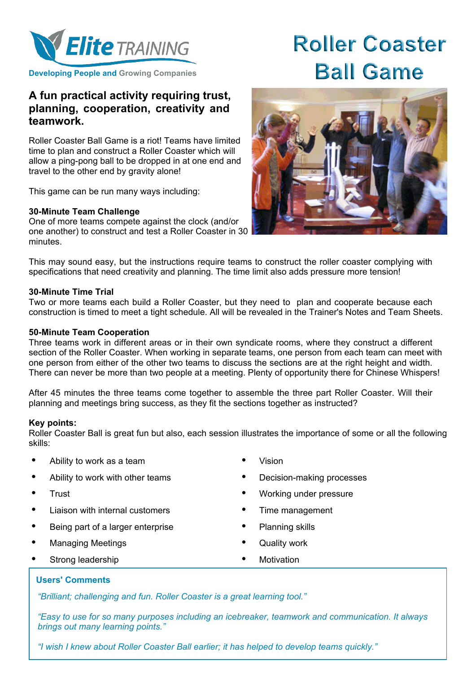

**Developing People and Growing Companies**

# **A fun practical activity requiring trust, planning, cooperation, creativity and teamwork.**

Roller Coaster Ball Game is a riot! Teams have limited time to plan and construct a Roller Coaster which will allow a ping-pong ball to be dropped in at one end and travel to the other end by gravity alone!

This game can be run many ways including:

## **30-Minute Team Challenge**

One of more teams compete against the clock (and/or one another) to construct and test a Roller Coaster in 30 minutes.

# **Roller Coaster Ball Game**



This may sound easy, but the instructions require teams to construct the roller coaster complying with specifications that need creativity and planning. The time limit also adds pressure more tension!

### **30-Minute Time Trial**

Two or more teams each build a Roller Coaster, but they need to plan and cooperate because each construction is timed to meet a tight schedule. All will be revealed in the Trainer's Notes and Team Sheets.

#### **50-Minute Team Cooperation**

Three teams work in different areas or in their own syndicate rooms, where they construct a different section of the Roller Coaster. When working in separate teams, one person from each team can meet with one person from either of the other two teams to discuss the sections are at the right height and width. There can never be more than two people at a meeting. Plenty of opportunity there for Chinese Whispers!

After 45 minutes the three teams come together to assemble the three part Roller Coaster. Will their planning and meetings bring success, as they fit the sections together as instructed?

#### **Key points:**

Roller Coaster Ball is great fun but also, each session illustrates the importance of some or all the following skills:

- Ability to work as a team  $\bullet$  Vision
- Ability to work with other teams Decision-making processes
- 
- Liaison with internal customers **\*** Time management
- Being part of a larger enterprise Planning skills
- Managing Meetings **by Contact Contact Managing Meetings by Contact Act October 1**
- Strong leadership **by a strong leadership**  $\bullet$  Motivation
- 
- 
- Trust **•** Working under pressure
	-
	-
	-
	-

## **Users' Comments**

*"Brilliant; challenging and fun. Roller Coaster is a great learning tool."*

*"Easy to use for so many purposes including an icebreaker, teamwork and communication. It always brings out many learning points."*

*"I wish I knew about Roller Coaster Ball earlier; it has helped to develop teams quickly."*